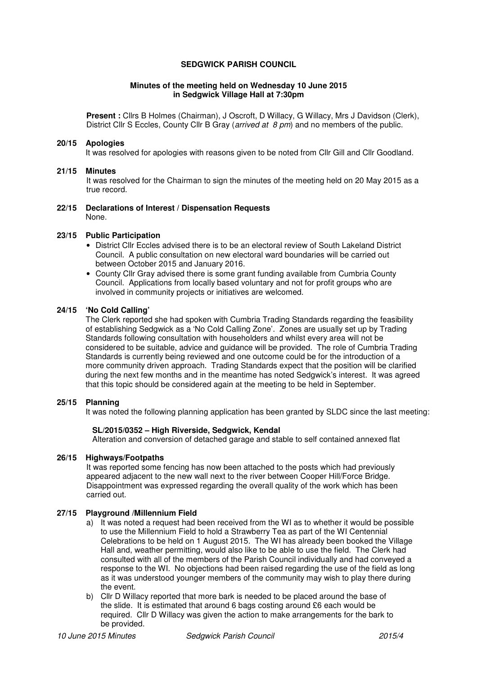### **SEDGWICK PARISH COUNCIL**

#### **Minutes of the meeting held on Wednesday 10 June 2015 in Sedgwick Village Hall at 7:30pm**

**Present :** Cllrs B Holmes (Chairman), J Oscroft, D Willacy, G Willacy, Mrs J Davidson (Clerk), District Cllr S Eccles, County Cllr B Gray (arrived at 8 pm) and no members of the public.

#### **20/15 Apologies**

It was resolved for apologies with reasons given to be noted from Cllr Gill and Cllr Goodland.

#### **21/15 Minutes**

It was resolved for the Chairman to sign the minutes of the meeting held on 20 May 2015 as a true record.

**22/15 Declarations of Interest / Dispensation Requests**  None.

#### **23/15 Public Participation**

- District Cllr Eccles advised there is to be an electoral review of South Lakeland District Council. A public consultation on new electoral ward boundaries will be carried out between October 2015 and January 2016.
- County Cllr Gray advised there is some grant funding available from Cumbria County Council. Applications from locally based voluntary and not for profit groups who are involved in community projects or initiatives are welcomed.

#### **24/15 'No Cold Calling'**

The Clerk reported she had spoken with Cumbria Trading Standards regarding the feasibility of establishing Sedgwick as a 'No Cold Calling Zone'. Zones are usually set up by Trading Standards following consultation with householders and whilst every area will not be considered to be suitable, advice and guidance will be provided. The role of Cumbria Trading Standards is currently being reviewed and one outcome could be for the introduction of a more community driven approach. Trading Standards expect that the position will be clarified during the next few months and in the meantime has noted Sedgwick's interest. It was agreed that this topic should be considered again at the meeting to be held in September.

## **25/15 Planning**

It was noted the following planning application has been granted by SLDC since the last meeting:

#### **SL/2015/0352 – High Riverside, Sedgwick, Kendal**

Alteration and conversion of detached garage and stable to self contained annexed flat

#### **26/15 Highways/Footpaths**

It was reported some fencing has now been attached to the posts which had previously appeared adjacent to the new wall next to the river between Cooper Hill/Force Bridge. Disappointment was expressed regarding the overall quality of the work which has been carried out.

#### **27/15 Playground /Millennium Field**

- a) It was noted a request had been received from the WI as to whether it would be possible to use the Millennium Field to hold a Strawberry Tea as part of the WI Centennial Celebrations to be held on 1 August 2015. The WI has already been booked the Village Hall and, weather permitting, would also like to be able to use the field. The Clerk had consulted with all of the members of the Parish Council individually and had conveyed a response to the WI. No objections had been raised regarding the use of the field as long as it was understood younger members of the community may wish to play there during the event.
- b) Cllr D Willacy reported that more bark is needed to be placed around the base of the slide. It is estimated that around 6 bags costing around £6 each would be required. Cllr D Willacy was given the action to make arrangements for the bark to be provided.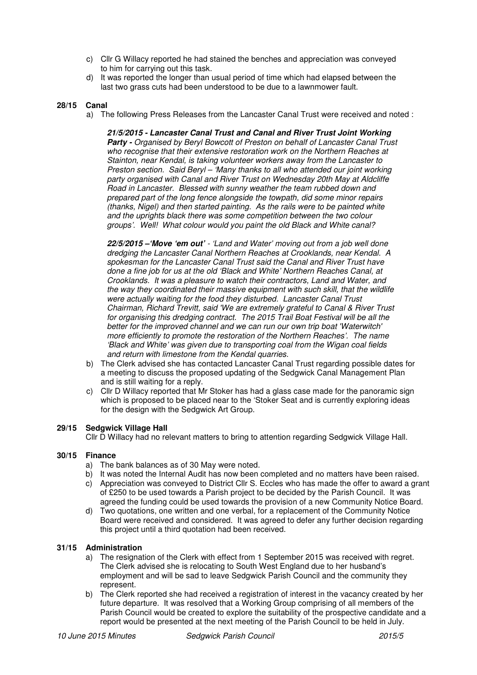- c) Cllr G Willacy reported he had stained the benches and appreciation was conveyed to him for carrying out this task.
- d) It was reported the longer than usual period of time which had elapsed between the last two grass cuts had been understood to be due to a lawnmower fault.

### **28/15 Canal**

a) The following Press Releases from the Lancaster Canal Trust were received and noted :

**21/5/2015 - Lancaster Canal Trust and Canal and River Trust Joint Working**  Party - Organised by Beryl Bowcott of Preston on behalf of Lancaster Canal Trust who recognise that their extensive restoration work on the Northern Reaches at Stainton, near Kendal, is taking volunteer workers away from the Lancaster to Preston section. Said Beryl – 'Many thanks to all who attended our joint working party organised with Canal and River Trust on Wednesday 20th May at Aldcliffe Road in Lancaster. Blessed with sunny weather the team rubbed down and prepared part of the long fence alongside the towpath, did some minor repairs (thanks, Nigel) and then started painting. As the rails were to be painted white and the uprights black there was some competition between the two colour groups'. Well! What colour would you paint the old Black and White canal?

**22/5/2015 –'Move 'em out'** - 'Land and Water' moving out from a job well done dredging the Lancaster Canal Northern Reaches at Crooklands, near Kendal. A spokesman for the Lancaster Canal Trust said the Canal and River Trust have done a fine job for us at the old 'Black and White' Northern Reaches Canal, at Crooklands. It was a pleasure to watch their contractors, Land and Water, and the way they coordinated their massive equipment with such skill, that the wildlife were actually waiting for the food they disturbed. Lancaster Canal Trust Chairman, Richard Trevitt, said 'We are extremely grateful to Canal & River Trust for organising this dredging contract. The 2015 Trail Boat Festival will be all the better for the improved channel and we can run our own trip boat 'Waterwitch' more efficiently to promote the restoration of the Northern Reaches'. The name 'Black and White' was given due to transporting coal from the Wigan coal fields and return with limestone from the Kendal quarries.

- b) The Clerk advised she has contacted Lancaster Canal Trust regarding possible dates for a meeting to discuss the proposed updating of the Sedgwick Canal Management Plan and is still waiting for a reply.
- c) Cllr D Willacy reported that Mr Stoker has had a glass case made for the panoramic sign which is proposed to be placed near to the 'Stoker Seat and is currently exploring ideas for the design with the Sedgwick Art Group.

## **29/15 Sedgwick Village Hall**

Cllr D Willacy had no relevant matters to bring to attention regarding Sedgwick Village Hall.

## **30/15 Finance**

- a) The bank balances as of 30 May were noted.
- b) It was noted the Internal Audit has now been completed and no matters have been raised.
- c) Appreciation was conveyed to District Cllr S. Eccles who has made the offer to award a grant of £250 to be used towards a Parish project to be decided by the Parish Council. It was agreed the funding could be used towards the provision of a new Community Notice Board.
- d) Two quotations, one written and one verbal, for a replacement of the Community Notice Board were received and considered. It was agreed to defer any further decision regarding this project until a third quotation had been received.

# **31/15 Administration**

- a) The resignation of the Clerk with effect from 1 September 2015 was received with regret. The Clerk advised she is relocating to South West England due to her husband's employment and will be sad to leave Sedgwick Parish Council and the community they represent.
- b) The Clerk reported she had received a registration of interest in the vacancy created by her future departure. It was resolved that a Working Group comprising of all members of the Parish Council would be created to explore the suitability of the prospective candidate and a report would be presented at the next meeting of the Parish Council to be held in July.